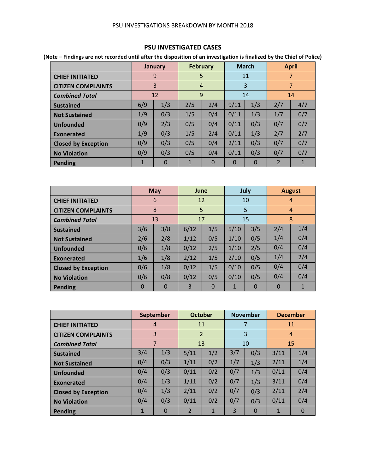#### PSU INVESTIGATIONS BREAKDOWN BY MONTH 2018

### **PSU INVESTIGATED CASES**

**(Note – Findings are not recorded until after the disposition of an investigation is finalized by the Chief of Police)**

|                            |              | January  | <b>February</b> |          |          | <b>March</b> |                | <b>April</b>   |
|----------------------------|--------------|----------|-----------------|----------|----------|--------------|----------------|----------------|
| <b>CHIEF INITIATED</b>     |              | 9        | 5               |          |          | 11           |                | $\overline{7}$ |
| <b>CITIZEN COMPLAINTS</b>  |              | 3        | 4               |          |          | 3            |                | $\overline{7}$ |
| <b>Combined Total</b>      |              | 12       | 9               |          |          | 14           |                | 14             |
| <b>Sustained</b>           | 6/9          | 1/3      | 2/5             | 2/4      | 9/11     | 1/3          | 2/7            | 4/7            |
| <b>Not Sustained</b>       | 1/9          | 0/3      | 1/5             | 0/4      | 0/11     | 1/3          | 1/7            | 0/7            |
| <b>Unfounded</b>           | 0/9          | 2/3      | 0/5             | 0/4      | 0/11     | 0/3          | 0/7            | 0/7            |
| Exonerated                 | 1/9          | 0/3      | 1/5             | 2/4      | 0/11     | 1/3          | 2/7            | 2/7            |
| <b>Closed by Exception</b> | 0/9          | 0/3      | 0/5             | 0/4      | 2/11     | 0/3          | 0/7            | 0/7            |
| <b>No Violation</b>        | 0/9          | 0/3      | 0/5             | 0/4      | 0/11     | 0/3          | 0/7            | 0/7            |
| Pending                    | $\mathbf{1}$ | $\Omega$ | 1               | $\Omega$ | $\Omega$ | $\Omega$     | $\overline{2}$ | 1              |

|                            |          | May         | June |          |              | July        |             | <b>August</b>  |
|----------------------------|----------|-------------|------|----------|--------------|-------------|-------------|----------------|
| <b>CHIEF INITIATED</b>     |          | 6           | 12   |          |              | 10          |             | 4              |
| <b>CITIZEN COMPLAINTS</b>  |          | 8           | 5    |          |              | 5           |             | $\overline{4}$ |
| <b>Combined Total</b>      |          | 13          | 17   |          |              | 15          |             | 8              |
| <b>Sustained</b>           | 3/6      | 3/8         | 6/12 | 1/5      | 5/10         | 3/5         | 2/4         | 1/4            |
| <b>Not Sustained</b>       | 2/6      | 2/8         | 1/12 | 0/5      | 1/10         | 0/5         | 1/4         | 0/4            |
| <b>Unfounded</b>           | 0/6      | 1/8         | 0/12 | 2/5      | 1/10         | 2/5         | 0/4         | 0/4            |
| Exonerated                 | 1/6      | 1/8         | 2/12 | 1/5      | 2/10         | 0/5         | 1/4         | 2/4            |
| <b>Closed by Exception</b> | 0/6      | 1/8         | 0/12 | 1/5      | 0/10         | 0/5         | 0/4         | 0/4            |
| <b>No Violation</b>        | 0/6      | 0/8         | 0/12 | 0/5      | 0/10         | 0/5         | 0/4         | 0/4            |
| Pending                    | $\Omega$ | $\mathbf 0$ | 3    | $\Omega$ | $\mathbf{1}$ | $\mathbf 0$ | $\mathbf 0$ | $\mathbf{1}$   |

|                            |              | <b>September</b> |                | <b>October</b> |     | <b>November</b> |      | <b>December</b> |
|----------------------------|--------------|------------------|----------------|----------------|-----|-----------------|------|-----------------|
| <b>CHIEF INITIATED</b>     |              | $\overline{4}$   | 11             |                |     | 7               |      | 11              |
| <b>CITIZEN COMPLAINTS</b>  |              | 3                | $\overline{2}$ |                |     | 3               |      | $\overline{4}$  |
| <b>Combined Total</b>      |              | 7                |                | 13             |     | 10              |      | 15              |
| <b>Sustained</b>           | 3/4          | 1/3              | 5/11           | 1/2            | 3/7 | 0/3             | 3/11 | 1/4             |
| <b>Not Sustained</b>       | 0/4          | 0/3              | 1/11           | 0/2            | 1/7 | 1/3             | 2/11 | 1/4             |
| <b>Unfounded</b>           | 0/4          | 0/3              | 0/11           | 0/2            | 0/7 | 1/3             | 0/11 | 0/4             |
| Exonerated                 | 0/4          | 1/3              | 1/11           | 0/2            | 0/7 | 1/3             | 3/11 | 0/4             |
| <b>Closed by Exception</b> | 0/4          | 1/3              | 2/11           | 0/2            | 0/7 | 0/3             | 2/11 | 2/4             |
| <b>No Violation</b>        | 0/4          | 0/3              | 0/11           | 0/2            | 0/7 | 0/3             | 0/11 | 0/4             |
| <b>Pending</b>             | $\mathbf{1}$ | $\Omega$         | $\overline{2}$ | $\mathbf{1}$   | 3   | $\Omega$        | 1    | 0               |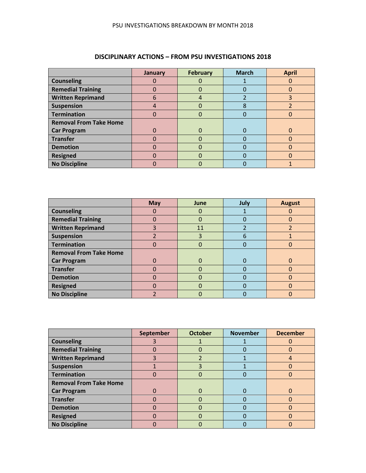|                               | <b>January</b> | <b>February</b> | <b>March</b> | <b>April</b> |
|-------------------------------|----------------|-----------------|--------------|--------------|
| <b>Counseling</b>             |                |                 |              |              |
| <b>Remedial Training</b>      |                | 0               |              | ი            |
| <b>Written Reprimand</b>      | 6              | 4               |              | 3            |
| <b>Suspension</b>             |                |                 | 8            |              |
| <b>Termination</b>            |                |                 |              |              |
| <b>Removal From Take Home</b> |                |                 |              |              |
| <b>Car Program</b>            |                | 0               |              |              |
| <b>Transfer</b>               |                |                 |              |              |
| <b>Demotion</b>               |                |                 |              |              |
| <b>Resigned</b>               |                | O               |              | ሰ            |
| <b>No Discipline</b>          |                |                 |              |              |

# **DISCIPLINARY ACTIONS – FROM PSU INVESTIGATIONS 2018**

|                               | <b>May</b> | June         | July | <b>August</b> |
|-------------------------------|------------|--------------|------|---------------|
| <b>Counseling</b>             |            | O            |      |               |
| <b>Remedial Training</b>      |            | O            |      |               |
| <b>Written Reprimand</b>      |            | 11           |      |               |
| <b>Suspension</b>             |            | 3            | 6    |               |
| <b>Termination</b>            | 0          | 0            |      | ი             |
| <b>Removal From Take Home</b> |            |              |      |               |
| <b>Car Program</b>            | 0          | 0            |      | O             |
| <b>Transfer</b>               |            | O            |      |               |
| <b>Demotion</b>               |            | O            |      |               |
| <b>Resigned</b>               | O          | $\mathbf{I}$ |      | 0             |
| <b>No Discipline</b>          |            |              |      |               |

|                               | September | <b>October</b> | <b>November</b> | <b>December</b> |
|-------------------------------|-----------|----------------|-----------------|-----------------|
| <b>Counseling</b>             | 3         |                |                 |                 |
| <b>Remedial Training</b>      | ⋂         | 0              |                 | 0               |
| <b>Written Reprimand</b>      | 3         |                |                 | 4               |
| <b>Suspension</b>             |           | 3              |                 | 0               |
| <b>Termination</b>            |           | O              |                 |                 |
| <b>Removal From Take Home</b> |           |                |                 |                 |
| <b>Car Program</b>            |           | 0              | O               |                 |
| <b>Transfer</b>               |           |                |                 |                 |
| <b>Demotion</b>               |           | 0              |                 |                 |
| <b>Resigned</b>               |           | ŋ              |                 | n               |
| <b>No Discipline</b>          |           |                |                 |                 |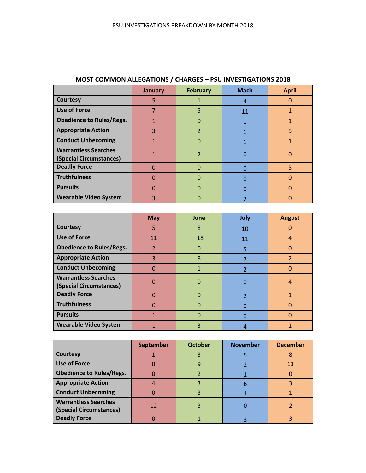|                                                        | January  | <b>February</b> | <b>Mach</b> | <b>April</b> |
|--------------------------------------------------------|----------|-----------------|-------------|--------------|
| <b>Courtesy</b>                                        | 5        |                 | 4           | O            |
| <b>Use of Force</b>                                    |          | 5               | 11          |              |
| <b>Obedience to Rules/Regs.</b>                        |          | Ω               |             |              |
| <b>Appropriate Action</b>                              | 3        | $\overline{2}$  |             | 5            |
| <b>Conduct Unbecoming</b>                              |          | 0               |             |              |
| <b>Warrantless Searches</b><br>(Special Circumstances) |          | 2               |             | O            |
| <b>Deadly Force</b>                                    | O        |                 |             | 5            |
| <b>Truthfulness</b>                                    | $\Omega$ |                 |             |              |
| <b>Pursuits</b>                                        | O        |                 |             | O            |
| <b>Wearable Video System</b>                           | 3        |                 |             |              |

# **MOST COMMON ALLEGATIONS / CHARGES – PSU INVESTIGATIONS 2018**

|                                                        | <b>May</b>               | <b>June</b> | July                     | <b>August</b> |
|--------------------------------------------------------|--------------------------|-------------|--------------------------|---------------|
| <b>Courtesy</b>                                        | 5                        | 8           | 10                       | 0             |
| <b>Use of Force</b>                                    | 11                       | 18          | 11                       | 4             |
| <b>Obedience to Rules/Regs.</b>                        | $\overline{\mathcal{L}}$ | 0           | 5                        | 0             |
| <b>Appropriate Action</b>                              | 3                        | 8           |                          | 2             |
| <b>Conduct Unbecoming</b>                              | $\Omega$                 | 1           | $\overline{\mathcal{L}}$ | 0             |
| <b>Warrantless Searches</b><br>(Special Circumstances) | O                        | Ω           | 0                        | 4             |
| <b>Deadly Force</b>                                    | $\Omega$                 | 0           | $\mathcal{P}$            | 1             |
| <b>Truthfulness</b>                                    | $\Omega$                 | 0           | n                        | O             |
| <b>Pursuits</b>                                        |                          |             | Ω                        |               |
| <b>Wearable Video System</b>                           |                          | 3           | 4                        |               |

|                                                        | <b>September</b> | <b>October</b> | <b>November</b> | <b>December</b> |
|--------------------------------------------------------|------------------|----------------|-----------------|-----------------|
| Courtesy                                               |                  |                |                 |                 |
| <b>Use of Force</b>                                    |                  | g              |                 | 13              |
| <b>Obedience to Rules/Regs.</b>                        |                  |                |                 |                 |
| <b>Appropriate Action</b>                              |                  |                |                 |                 |
| <b>Conduct Unbecoming</b>                              |                  |                |                 |                 |
| <b>Warrantless Searches</b><br>(Special Circumstances) | 12               |                |                 |                 |
| <b>Deadly Force</b>                                    |                  |                |                 |                 |